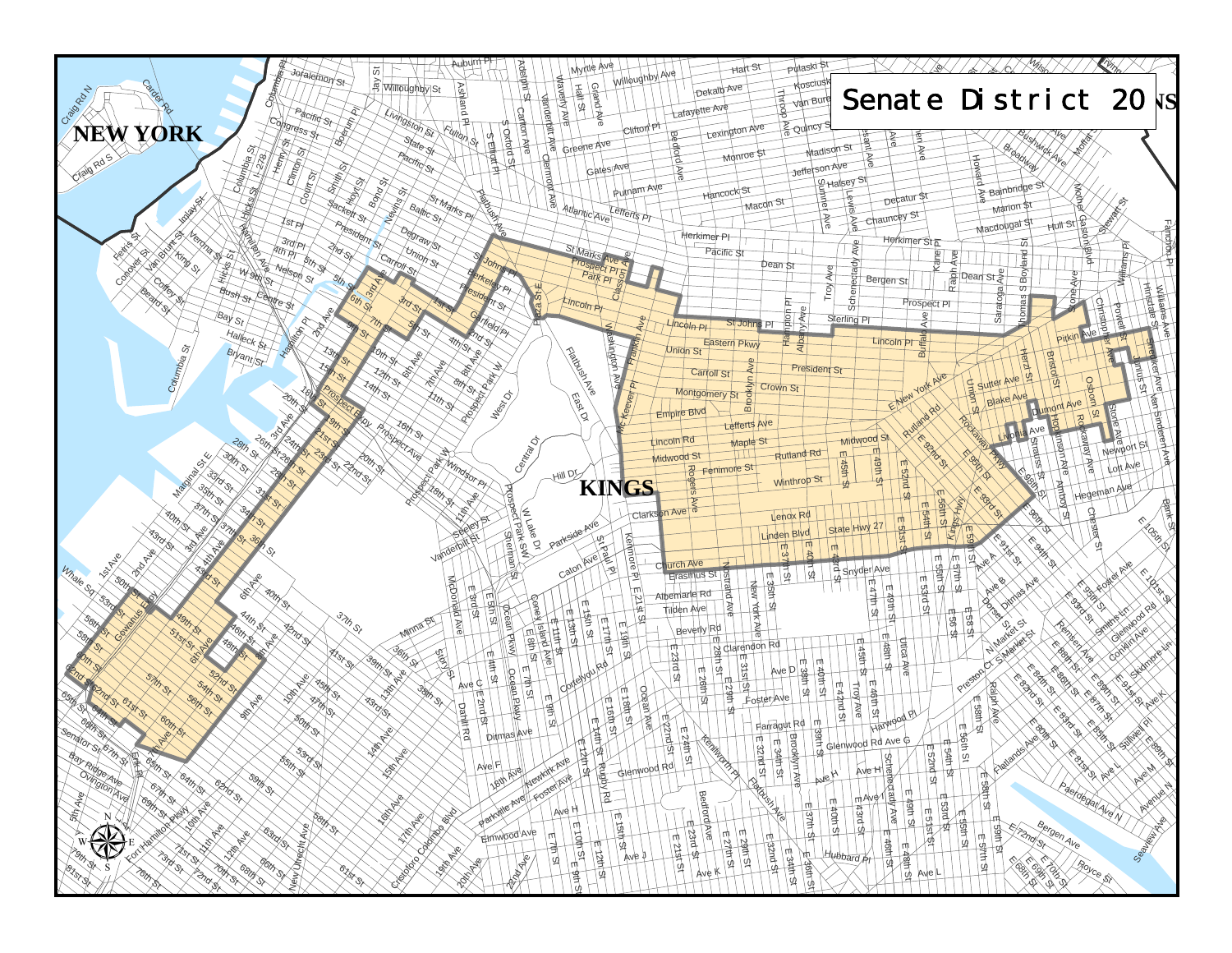